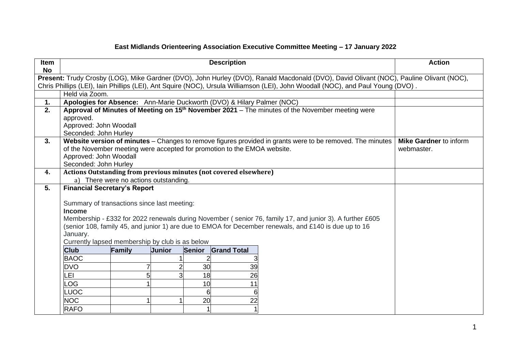## **East Midlands Orienteering Association Executive Committee Meeting – 17 January 2022**

| <b>Item</b><br><b>No</b> | <b>Description</b>                                                                                                                      |                                       |        |               |                                                                          | <b>Action</b>                                                                                                                                                                                                     |                               |
|--------------------------|-----------------------------------------------------------------------------------------------------------------------------------------|---------------------------------------|--------|---------------|--------------------------------------------------------------------------|-------------------------------------------------------------------------------------------------------------------------------------------------------------------------------------------------------------------|-------------------------------|
|                          | Present: Trudy Crosby (LOG), Mike Gardner (DVO), John Hurley (DVO), Ranald Macdonald (DVO), David Olivant (NOC), Pauline Olivant (NOC), |                                       |        |               |                                                                          |                                                                                                                                                                                                                   |                               |
|                          | Chris Phillips (LEI), Iain Phillips (LEI), Ant Squire (NOC), Ursula Williamson (LEI), John Woodall (NOC), and Paul Young (DVO).         |                                       |        |               |                                                                          |                                                                                                                                                                                                                   |                               |
|                          | Held via Zoom.                                                                                                                          |                                       |        |               |                                                                          |                                                                                                                                                                                                                   |                               |
| 1.                       |                                                                                                                                         |                                       |        |               | Apologies for Absence: Ann-Marie Duckworth (DVO) & Hilary Palmer (NOC)   |                                                                                                                                                                                                                   |                               |
| 2.                       | Approval of Minutes of Meeting on 15 <sup>th</sup> November 2021 – The minutes of the November meeting were                             |                                       |        |               |                                                                          |                                                                                                                                                                                                                   |                               |
|                          | approved.                                                                                                                               |                                       |        |               |                                                                          |                                                                                                                                                                                                                   |                               |
|                          | Approved: John Woodall                                                                                                                  |                                       |        |               |                                                                          |                                                                                                                                                                                                                   |                               |
| 3.                       | Seconded: John Hurley<br>Website version of minutes - Changes to remove figures provided in grants were to be removed. The minutes      |                                       |        |               |                                                                          |                                                                                                                                                                                                                   | <b>Mike Gardner to inform</b> |
|                          |                                                                                                                                         |                                       |        |               | of the November meeting were accepted for promotion to the EMOA website. |                                                                                                                                                                                                                   | webmaster.                    |
|                          | Approved: John Woodall                                                                                                                  |                                       |        |               |                                                                          |                                                                                                                                                                                                                   |                               |
|                          | Seconded: John Hurley                                                                                                                   |                                       |        |               |                                                                          |                                                                                                                                                                                                                   |                               |
| 4.                       |                                                                                                                                         |                                       |        |               | <b>Actions Outstanding from previous minutes (not covered elsewhere)</b> |                                                                                                                                                                                                                   |                               |
|                          |                                                                                                                                         | a) There were no actions outstanding. |        |               |                                                                          |                                                                                                                                                                                                                   |                               |
| 5.                       | <b>Financial Secretary's Report</b>                                                                                                     |                                       |        |               |                                                                          |                                                                                                                                                                                                                   |                               |
|                          |                                                                                                                                         |                                       |        |               |                                                                          |                                                                                                                                                                                                                   |                               |
|                          | Summary of transactions since last meeting:                                                                                             |                                       |        |               |                                                                          |                                                                                                                                                                                                                   |                               |
|                          | <b>Income</b>                                                                                                                           |                                       |        |               |                                                                          |                                                                                                                                                                                                                   |                               |
|                          |                                                                                                                                         |                                       |        |               |                                                                          | Membership - £332 for 2022 renewals during November (senior 76, family 17, and junior 3). A further £605<br>(senior 108, family 45, and junior 1) are due to EMOA for December renewals, and £140 is due up to 16 |                               |
|                          | January.                                                                                                                                |                                       |        |               |                                                                          |                                                                                                                                                                                                                   |                               |
|                          | Currently lapsed membership by club is as below                                                                                         |                                       |        |               |                                                                          |                                                                                                                                                                                                                   |                               |
|                          | <b>Club</b>                                                                                                                             | <b>Family</b>                         | Junior | <b>Senior</b> | <b>Grand Total</b>                                                       |                                                                                                                                                                                                                   |                               |
|                          | <b>BAOC</b>                                                                                                                             |                                       |        |               |                                                                          |                                                                                                                                                                                                                   |                               |
|                          | <b>DVO</b>                                                                                                                              |                                       |        | 30            | 39                                                                       |                                                                                                                                                                                                                   |                               |
|                          | LEI                                                                                                                                     |                                       |        | 18            | 26                                                                       |                                                                                                                                                                                                                   |                               |
|                          | LOG                                                                                                                                     |                                       |        | 10            | 11                                                                       |                                                                                                                                                                                                                   |                               |
|                          | <b>LUOC</b>                                                                                                                             |                                       |        | 6             |                                                                          |                                                                                                                                                                                                                   |                               |
|                          | <b>NOC</b>                                                                                                                              |                                       |        | 20            | 22                                                                       |                                                                                                                                                                                                                   |                               |
|                          | <b>RAFO</b>                                                                                                                             |                                       |        |               |                                                                          |                                                                                                                                                                                                                   |                               |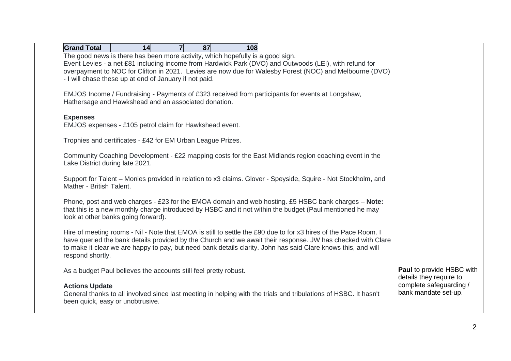| <b>Grand Total</b><br>87<br>14<br>$\overline{7}$<br>108                                                                                                                                                           |                                                 |
|-------------------------------------------------------------------------------------------------------------------------------------------------------------------------------------------------------------------|-------------------------------------------------|
| The good news is there has been more activity, which hopefully is a good sign.                                                                                                                                    |                                                 |
| Event Levies - a net £81 including income from Hardwick Park (DVO) and Outwoods (LEI), with refund for<br>overpayment to NOC for Clifton in 2021. Levies are now due for Walesby Forest (NOC) and Melbourne (DVO) |                                                 |
| - I will chase these up at end of January if not paid.                                                                                                                                                            |                                                 |
|                                                                                                                                                                                                                   |                                                 |
| EMJOS Income / Fundraising - Payments of £323 received from participants for events at Longshaw,                                                                                                                  |                                                 |
| Hathersage and Hawkshead and an associated donation.                                                                                                                                                              |                                                 |
| <b>Expenses</b>                                                                                                                                                                                                   |                                                 |
| EMJOS expenses - £105 petrol claim for Hawkshead event.                                                                                                                                                           |                                                 |
|                                                                                                                                                                                                                   |                                                 |
| Trophies and certificates - £42 for EM Urban League Prizes.                                                                                                                                                       |                                                 |
| Community Coaching Development - £22 mapping costs for the East Midlands region coaching event in the                                                                                                             |                                                 |
| Lake District during late 2021.                                                                                                                                                                                   |                                                 |
| Support for Talent – Monies provided in relation to x3 claims. Glover - Speyside, Squire - Not Stockholm, and                                                                                                     |                                                 |
| Mather - British Talent.                                                                                                                                                                                          |                                                 |
|                                                                                                                                                                                                                   |                                                 |
| Phone, post and web charges - £23 for the EMOA domain and web hosting. £5 HSBC bank charges - Note:                                                                                                               |                                                 |
| that this is a new monthly charge introduced by HSBC and it not within the budget (Paul mentioned he may<br>look at other banks going forward).                                                                   |                                                 |
|                                                                                                                                                                                                                   |                                                 |
| Hire of meeting rooms - Nil - Note that EMOA is still to settle the £90 due to for x3 hires of the Pace Room. I                                                                                                   |                                                 |
| have queried the bank details provided by the Church and we await their response. JW has checked with Clare                                                                                                       |                                                 |
| to make it clear we are happy to pay, but need bank details clarity. John has said Clare knows this, and will<br>respond shortly.                                                                                 |                                                 |
|                                                                                                                                                                                                                   |                                                 |
| As a budget Paul believes the accounts still feel pretty robust.                                                                                                                                                  | <b>Paul to provide HSBC with</b>                |
|                                                                                                                                                                                                                   | details they require to                         |
| <b>Actions Update</b><br>General thanks to all involved since last meeting in helping with the trials and tribulations of HSBC. It hasn't                                                                         | complete safeguarding /<br>bank mandate set-up. |
| been quick, easy or unobtrusive.                                                                                                                                                                                  |                                                 |
|                                                                                                                                                                                                                   |                                                 |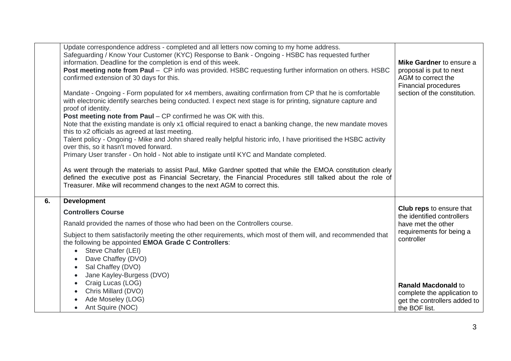|    | Update correspondence address - completed and all letters now coming to my home address.<br>Safeguarding / Know Your Customer (KYC) Response to Bank - Ongoing - HSBC has requested further<br>information. Deadline for the completion is end of this week.<br>Post meeting note from Paul - CP info was provided. HSBC requesting further information on others. HSBC<br>confirmed extension of 30 days for this.<br>Mandate - Ongoing - Form populated for x4 members, awaiting confirmation from CP that he is comfortable<br>with electronic identify searches being conducted. I expect next stage is for printing, signature capture and<br>proof of identity.<br><b>Post meeting note from Paul – CP confirmed he was OK with this.</b><br>Note that the existing mandate is only x1 official required to enact a banking change, the new mandate moves<br>this to x2 officials as agreed at last meeting.<br>Talent policy - Ongoing - Mike and John shared really helpful historic info, I have prioritised the HSBC activity<br>over this, so it hasn't moved forward.<br>Primary User transfer - On hold - Not able to instigate until KYC and Mandate completed.<br>As went through the materials to assist Paul, Mike Gardner spotted that while the EMOA constitution clearly<br>defined the executive post as Financial Secretary, the Financial Procedures still talked about the role of<br>Treasurer. Mike will recommend changes to the next AGM to correct this. | Mike Gardner to ensure a<br>proposal is put to next<br>AGM to correct the<br>Financial procedures<br>section of the constitution.                                                                                                           |
|----|---------------------------------------------------------------------------------------------------------------------------------------------------------------------------------------------------------------------------------------------------------------------------------------------------------------------------------------------------------------------------------------------------------------------------------------------------------------------------------------------------------------------------------------------------------------------------------------------------------------------------------------------------------------------------------------------------------------------------------------------------------------------------------------------------------------------------------------------------------------------------------------------------------------------------------------------------------------------------------------------------------------------------------------------------------------------------------------------------------------------------------------------------------------------------------------------------------------------------------------------------------------------------------------------------------------------------------------------------------------------------------------------------------------------------------------------------------------------------------------|---------------------------------------------------------------------------------------------------------------------------------------------------------------------------------------------------------------------------------------------|
| 6. | <b>Development</b><br><b>Controllers Course</b><br>Ranald provided the names of those who had been on the Controllers course.<br>Subject to them satisfactorily meeting the other requirements, which most of them will, and recommended that<br>the following be appointed EMOA Grade C Controllers:<br>Steve Chafer (LEI)<br>$\bullet$<br>Dave Chaffey (DVO)<br>Sal Chaffey (DVO)<br>$\bullet$<br>Jane Kayley-Burgess (DVO)<br>Craig Lucas (LOG)<br>$\bullet$<br>Chris Millard (DVO)<br>$\bullet$<br>Ade Moseley (LOG)<br>Ant Squire (NOC)<br>$\bullet$                                                                                                                                                                                                                                                                                                                                                                                                                                                                                                                                                                                                                                                                                                                                                                                                                                                                                                                             | <b>Club reps to ensure that</b><br>the identified controllers<br>have met the other<br>requirements for being a<br>controller<br><b>Ranald Macdonald to</b><br>complete the application to<br>get the controllers added to<br>the BOF list. |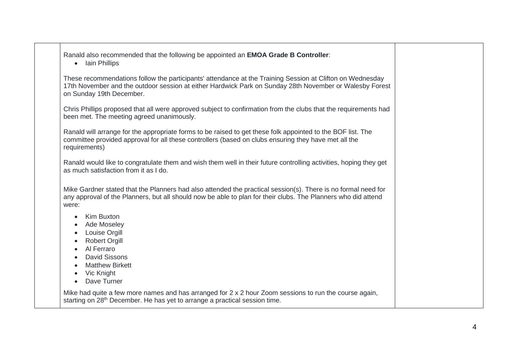Ranald also recommended that the following be appointed an **EMOA Grade B Controller**:

• Iain Phillips

These recommendations follow the participants' attendance at the Training Session at Clifton on Wednesday 17th November and the outdoor session at either Hardwick Park on Sunday 28th November or Walesby Forest on Sunday 19th December.

Chris Phillips proposed that all were approved subject to confirmation from the clubs that the requirements had been met. The meeting agreed unanimously.

Ranald will arrange for the appropriate forms to be raised to get these folk appointed to the BOF list. The committee provided approval for all these controllers (based on clubs ensuring they have met all the requirements)

Ranald would like to congratulate them and wish them well in their future controlling activities, hoping they get as much satisfaction from it as I do.

Mike Gardner stated that the Planners had also attended the practical session(s). There is no formal need for any approval of the Planners, but all should now be able to plan for their clubs. The Planners who did attend were:

- Kim Buxton
- Ade Moseley
- Louise Orgill
- Robert Orgill
- Al Ferraro
- David Sissons
- Matthew Birkett
- Vic Knight
- Dave Turner

Mike had quite a few more names and has arranged for 2 x 2 hour Zoom sessions to run the course again, starting on 28<sup>th</sup> December. He has yet to arrange a practical session time.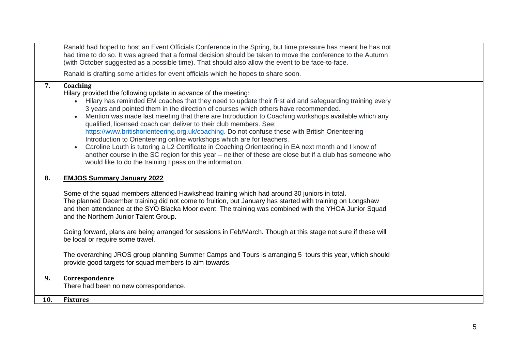|     | Ranald had hoped to host an Event Officials Conference in the Spring, but time pressure has meant he has not<br>had time to do so. It was agreed that a formal decision should be taken to move the conference to the Autumn<br>(with October suggested as a possible time). That should also allow the event to be face-to-face.                                                                                                                                                                                                                                                                                                                                                                                                                                                                                                                                                                                                              |  |
|-----|------------------------------------------------------------------------------------------------------------------------------------------------------------------------------------------------------------------------------------------------------------------------------------------------------------------------------------------------------------------------------------------------------------------------------------------------------------------------------------------------------------------------------------------------------------------------------------------------------------------------------------------------------------------------------------------------------------------------------------------------------------------------------------------------------------------------------------------------------------------------------------------------------------------------------------------------|--|
|     | Ranald is drafting some articles for event officials which he hopes to share soon.                                                                                                                                                                                                                                                                                                                                                                                                                                                                                                                                                                                                                                                                                                                                                                                                                                                             |  |
| 7.  | Coaching<br>Hilary provided the following update in advance of the meeting:<br>Hilary has reminded EM coaches that they need to update their first aid and safeguarding training every<br>$\bullet$<br>3 years and pointed them in the direction of courses which others have recommended.<br>Mention was made last meeting that there are Introduction to Coaching workshops available which any<br>qualified, licensed coach can deliver to their club members. See:<br>https://www.britishorienteering.org.uk/coaching. Do not confuse these with British Orienteering<br>Introduction to Orienteering online workshops which are for teachers.<br>Caroline Louth is tutoring a L2 Certificate in Coaching Orienteering in EA next month and I know of<br>$\bullet$<br>another course in the SC region for this year - neither of these are close but if a club has someone who<br>would like to do the training I pass on the information. |  |
| 8.  | <b>EMJOS Summary January 2022</b>                                                                                                                                                                                                                                                                                                                                                                                                                                                                                                                                                                                                                                                                                                                                                                                                                                                                                                              |  |
|     | Some of the squad members attended Hawkshead training which had around 30 juniors in total.<br>The planned December training did not come to fruition, but January has started with training on Longshaw<br>and then attendance at the SYO Blacka Moor event. The training was combined with the YHOA Junior Squad<br>and the Northern Junior Talent Group.                                                                                                                                                                                                                                                                                                                                                                                                                                                                                                                                                                                    |  |
|     | Going forward, plans are being arranged for sessions in Feb/March. Though at this stage not sure if these will<br>be local or require some travel.                                                                                                                                                                                                                                                                                                                                                                                                                                                                                                                                                                                                                                                                                                                                                                                             |  |
|     | The overarching JROS group planning Summer Camps and Tours is arranging 5 tours this year, which should<br>provide good targets for squad members to aim towards.                                                                                                                                                                                                                                                                                                                                                                                                                                                                                                                                                                                                                                                                                                                                                                              |  |
| 9.  | Correspondence                                                                                                                                                                                                                                                                                                                                                                                                                                                                                                                                                                                                                                                                                                                                                                                                                                                                                                                                 |  |
|     | There had been no new correspondence.                                                                                                                                                                                                                                                                                                                                                                                                                                                                                                                                                                                                                                                                                                                                                                                                                                                                                                          |  |
| 10. | <b>Fixtures</b>                                                                                                                                                                                                                                                                                                                                                                                                                                                                                                                                                                                                                                                                                                                                                                                                                                                                                                                                |  |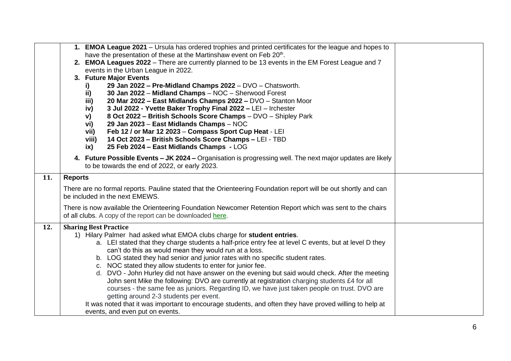|     | 1. EMOA League 2021 – Ursula has ordered trophies and printed certificates for the league and hopes to                                                                                       |  |
|-----|----------------------------------------------------------------------------------------------------------------------------------------------------------------------------------------------|--|
|     | have the presentation of these at the Martinshaw event on Feb 20th.                                                                                                                          |  |
|     | 2. EMOA Leagues 2022 – There are currently planned to be 13 events in the EM Forest League and 7                                                                                             |  |
|     | events in the Urban League in 2022.                                                                                                                                                          |  |
|     | 3. Future Major Events                                                                                                                                                                       |  |
|     | 29 Jan 2022 - Pre-Midland Champs 2022 - DVO - Chatsworth.<br>i)                                                                                                                              |  |
|     | ii)<br>30 Jan 2022 - Midland Champs - NOC - Sherwood Forest                                                                                                                                  |  |
|     | 20 Mar 2022 - East Midlands Champs 2022 - DVO - Stanton Moor<br>iii)<br>3 Jul 2022 - Yvette Baker Trophy Final 2022 - LEI - Irchester                                                        |  |
|     | iv)<br>8 Oct 2022 - British Schools Score Champs - DVO - Shipley Park                                                                                                                        |  |
|     | V)<br>29 Jan 2023 - East Midlands Champs - NOC<br>vi)                                                                                                                                        |  |
|     | Feb 12 / or Mar 12 2023 - Compass Sport Cup Heat - LEI<br>vii)                                                                                                                               |  |
|     | 14 Oct 2023 - British Schools Score Champs - LEI - TBD<br>viii)                                                                                                                              |  |
|     | 25 Feb 2024 - East Midlands Champs - LOG<br>ix)                                                                                                                                              |  |
|     |                                                                                                                                                                                              |  |
|     | 4. Future Possible Events - JK 2024 - Organisation is progressing well. The next major updates are likely                                                                                    |  |
|     | to be towards the end of 2022, or early 2023.                                                                                                                                                |  |
| 11. | <b>Reports</b>                                                                                                                                                                               |  |
|     | There are no formal reports. Pauline stated that the Orienteering Foundation report will be out shortly and can                                                                              |  |
|     | be included in the next EMEWS.                                                                                                                                                               |  |
|     | There is now available the Orienteering Foundation Newcomer Retention Report which was sent to the chairs                                                                                    |  |
|     | of all clubs. A copy of the report can be downloaded here.                                                                                                                                   |  |
|     |                                                                                                                                                                                              |  |
| 12. | <b>Sharing Best Practice</b>                                                                                                                                                                 |  |
|     | 1) Hilary Palmer had asked what EMOA clubs charge for student entries.                                                                                                                       |  |
|     | a. LEI stated that they charge students a half-price entry fee at level C events, but at level D they                                                                                        |  |
|     | can't do this as would mean they would run at a loss.                                                                                                                                        |  |
|     | b. LOG stated they had senior and junior rates with no specific student rates.                                                                                                               |  |
|     | c. NOC stated they allow students to enter for junior fee.                                                                                                                                   |  |
|     | d. DVO - John Hurley did not have answer on the evening but said would check. After the meeting                                                                                              |  |
|     | John sent Mike the following: DVO are currently at registration charging students £4 for all<br>courses - the same fee as juniors. Regarding ID, we have just taken people on trust. DVO are |  |
|     | getting around 2-3 students per event.                                                                                                                                                       |  |
|     | It was noted that it was important to encourage students, and often they have proved willing to help at                                                                                      |  |
|     | events, and even put on events.                                                                                                                                                              |  |
|     |                                                                                                                                                                                              |  |